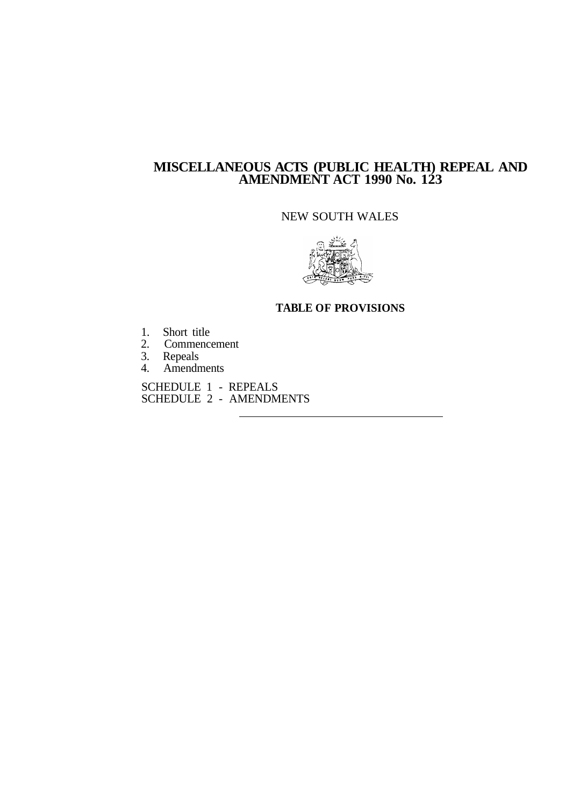### **MISCELLANEOUS ACTS (PUBLIC HEALTH) REPEAL AND AMENDMENT ACT 1990 No. 123**

#### NEW SOUTH WALES



#### **TABLE OF PROVISIONS**

- 1. Short title
- 2. Commencement
- 3. Repeals
- 4. Amendments

SCHEDULE 1 - REPEALS SCHEDULE 2 - AMENDMENTS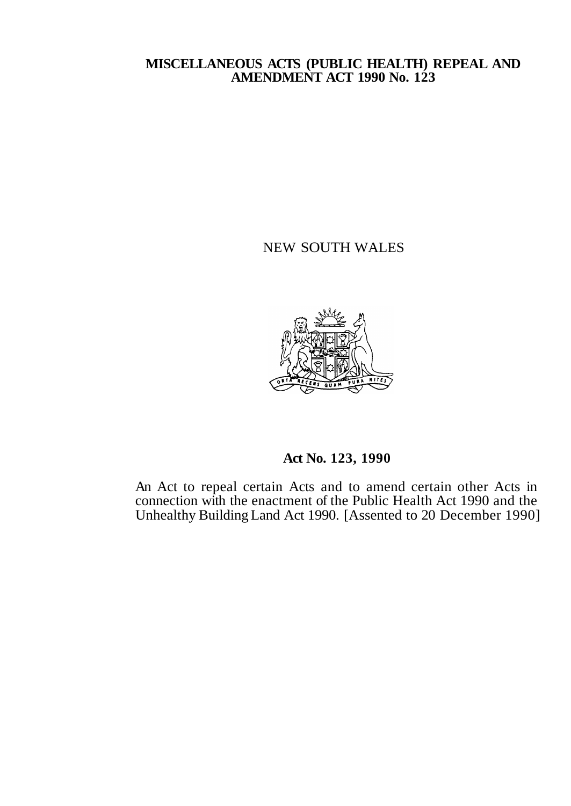#### **MISCELLANEOUS ACTS (PUBLIC HEALTH) REPEAL AND AMENDMENT ACT 1990 No. 123**

NEW SOUTH WALES



**Act No. 123,1990** 

An Act to repeal certain Acts and to amend certain other Acts in connection with the enactment of the Public Health Act 1990 and the Unhealthy Building Land Act 1990. [Assented to 20 December 1990]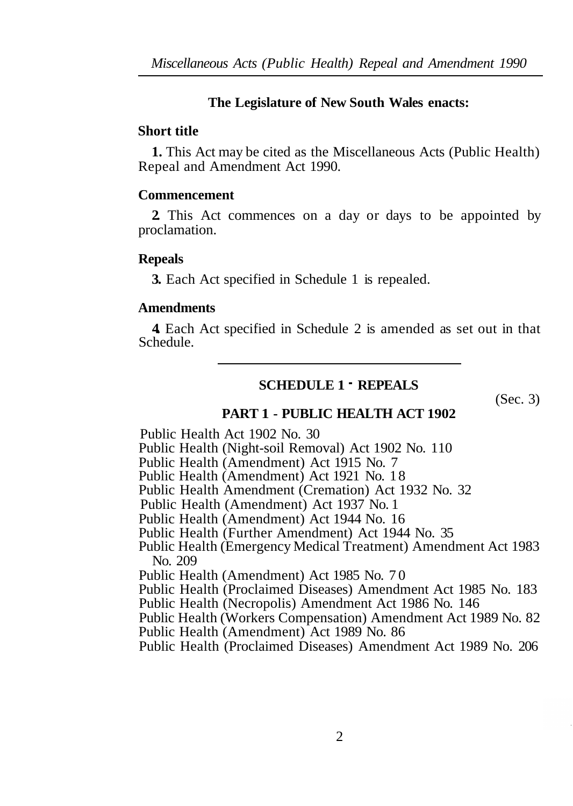### **The Legislature of New South Wales enacts:**

### **Short title**

**1.** This Act may be cited as the Miscellaneous Acts (Public Health) Repeal and Amendment Act 1990.

### **Commencement**

**2.** This Act commences on a day or days to be appointed by proclamation.

### **Repeals**

**3.** Each Act specified in Schedule 1 is repealed.

### **Amendments**

**4.** Each Act specified in Schedule 2 is amended as set out in that Schedule.

# **SCHEDULE 1** - **REPEALS**

(Sec. 3)

### **PART 1 - PUBLIC HEALTH ACT 1902**

Public Health Act 1902 No. 30

Public Health (Night-soil Removal) Act 1902 No. 110

Public Health (Amendment) Act 1915 No. 7

Public Health (Amendment) Act 1921 No. 18

Public Health Amendment (Cremation) Act 1932 No. 32

Public Health (Amendment) Act 1937 No. 1

Public Health (Amendment) Act 1944 No. 16

Public Health (Further Amendment) Act 1944 No. 35

Public Health (Emergency Medical Treatment) Amendment Act 1983 No. 209

Public Health (Amendment) Act 1985 No. 70

Public Health (Proclaimed Diseases) Amendment Act 1985 No. 183

Public Health (Necropolis) Amendment Act 1986 No. 146

Public Health (Workers Compensation) Amendment Act 1989 No. 82

Public Health (Amendment) Act 1989 No. 86

Public Health (Proclaimed Diseases) Amendment Act 1989 No. 206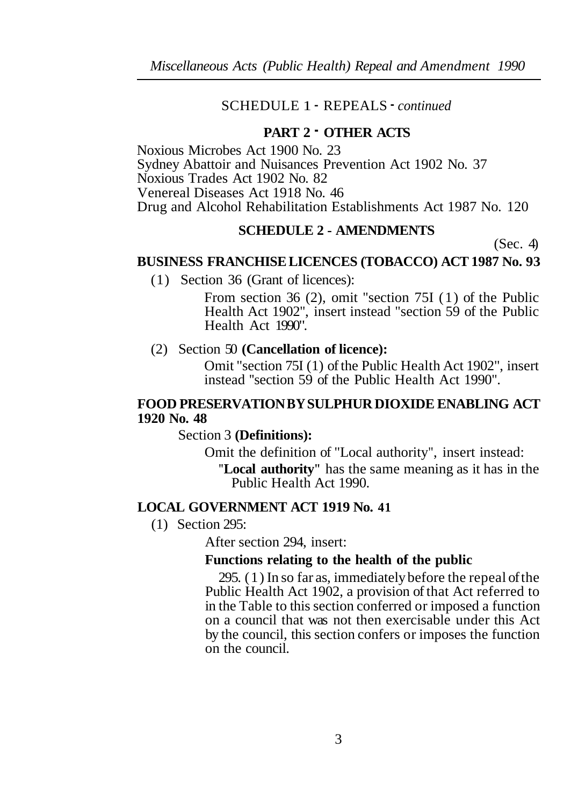### SCHEDULE 1 - REPEALS - *continued*

### **PART 2** - **OTHER ACTS**

Noxious Microbes Act 1900 No. 23 Sydney Abattoir and Nuisances Prevention Act 1902 No. 37 Noxious Trades Act 1902 No. 82 Venereal Diseases Act 1918 No. 46 Drug and Alcohol Rehabilitation Establishments Act 1987 No. 120

# **SCHEDULE 2 - AMENDMENTS**

(Sec. 4)

#### **BUSINESS FRANCHISE LICENCES (TOBACCO) ACT 1987 No. 93**

(1) Section 36 (Grant of licences):

From section 36 (2), omit "section 75I (1) of the Public Health Act 1902", insert instead "section 59 of the Public Health Act 1990".

(2) Section 50 **(Cancellation of licence):** 

Omit "section 75I (1) of the Public Health Act 1902", insert instead ''section 59 of the Public Health Act 1990".

### **FOOD PRESERVATION BY SULPHUR DIOXIDE ENABLING ACT 1920 No. 48**

Section 3 **(Definitions):** 

Omit the definition of "Local authority", insert instead: **"Local authority"** has the same meaning as it has in the Public Health Act 1990.

### **LOCAL GOVERNMENT ACT 1919 No. 41**

(1) Section 295:

After section 294, insert:

#### **Functions relating to the health of the public**

295. (1) In so far as, immediately before the repeal of the Public Health Act 1902, a provision of that Act referred to in the Table to this section conferred or imposed a function on a council that was not then exercisable under this Act by the council, this section confers or imposes the function on the council.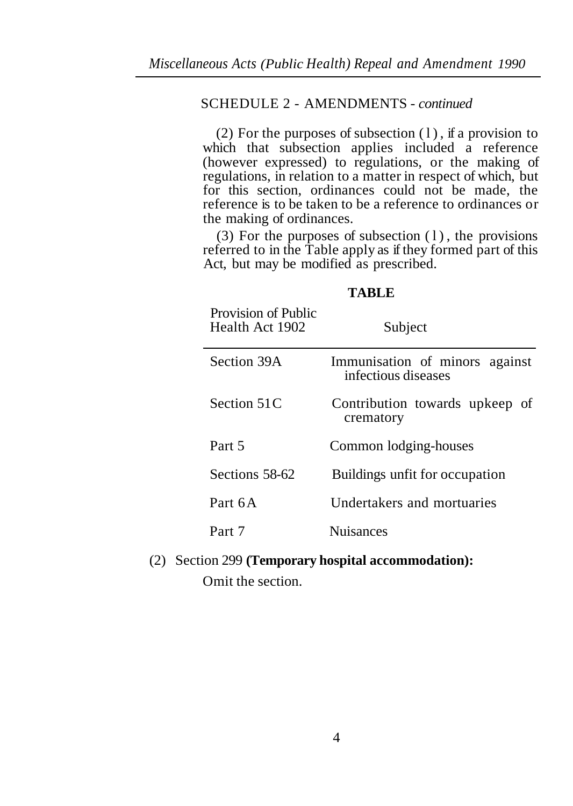### SCHEDULE 2 - AMENDMENTS - *continued*

(2) For the purposes of subsection  $(1)$ , if a provision to which that subsection applies included a reference (however expressed) to regulations, or the making of regulations, in relation to a matter in respect of which, but for this section, ordinances could not be made, the reference is to be taken to be a reference to ordinances or the making of ordinances.

(3) For the purposes of subsection  $(1)$ , the provisions referred to in the Table apply as if they formed part of this Act, but may be modified as prescribed.

#### **TABLE**

| Provision of Public<br>Health Act 1902 | Subject                                               |
|----------------------------------------|-------------------------------------------------------|
| Section 39A                            | Immunisation of minors against<br>infectious diseases |
| Section 51C                            | Contribution towards upkeep of<br>crematory           |
| Part 5                                 | Common lodging-houses                                 |
| Sections 58-62                         | Buildings unfit for occupation                        |
| Part 6A                                | Undertakers and mortuaries                            |
| Part 7                                 | <b>Nuisances</b>                                      |

(2) Section 299 **(Temporary hospital accommodation):**  Omit the section.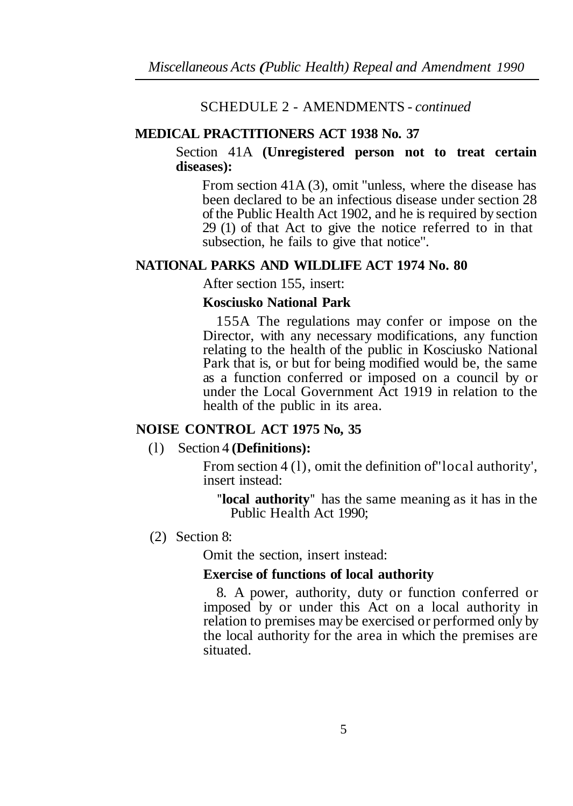## SCHEDULE 2 - AMENDMENTS - *continued*

# **MEDICAL PRACTITIONERS ACT 1938 No. 37**

Section 41A **(Unregistered person not to treat certain diseases):** 

From section 41A (3), omit "unless, where the disease has been declared to be an infectious disease under section 28 of the Public Health Act 1902, and he is required by section 29 (1) of that Act to give the notice referred to in that subsection, he fails to give that notice".

# **NATIONAL PARKS AND WILDLIFE ACT 1974 No. 80**

After section 155, insert:

# **Kosciusko National Park**

155A The regulations may confer or impose on the Director, with any necessary modifications, any function relating to the health of the public in Kosciusko National Park that is, or but for being modified would be, the same as a function conferred or imposed on a council by or under the Local Government Act 1919 in relation to the health of the public in its area.

# **NOISE CONTROL ACT 1975 No, 35**

# (l) Section 4 **(Definitions):**

From section 4 (1), omit the definition of local authority'. insert instead:

**"local authority"** has the same meaning as it has in the Public Health Act 1990;

# (2) Section 8:

Omit the section, insert instead:

### **Exercise of functions of local authority**

8. A power, authority, duty or function conferred or imposed by or under this Act on a local authority in relation to premises may be exercised or performed only by the local authority for the area in which the premises are situated.